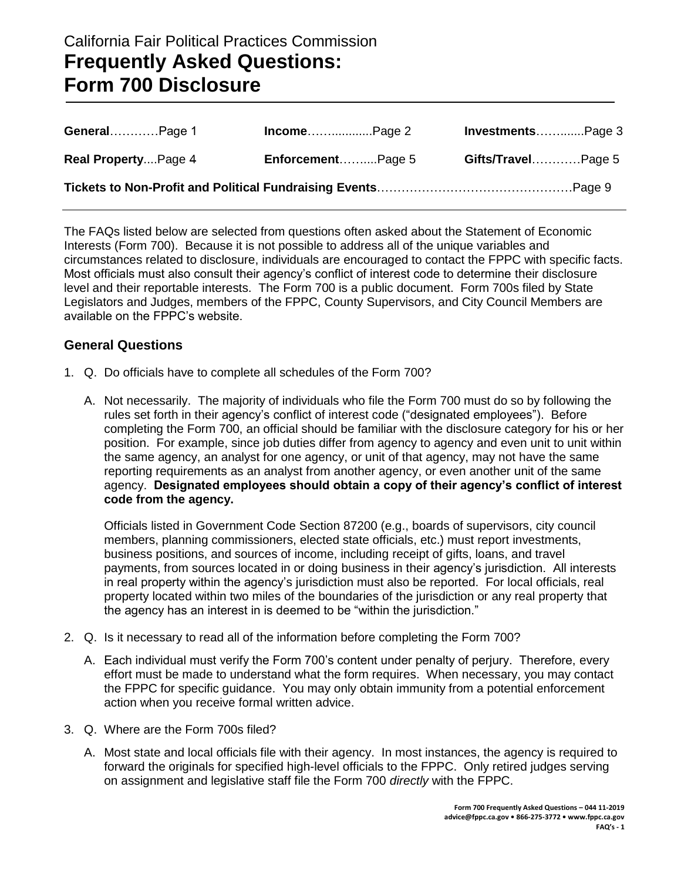# California Fair Political Practices Commission **Frequently Asked Questions: Form 700 Disclosure**

| GeneralPage 1       |                          | InvestmentsPage 3  |
|---------------------|--------------------------|--------------------|
| Real PropertyPage 4 | <b>EnforcementPage 5</b> | Gifts/TravelPage 5 |
|                     |                          |                    |

The FAQs listed below are selected from questions often asked about the Statement of Economic Interests (Form 700). Because it is not possible to address all of the unique variables and circumstances related to disclosure, individuals are encouraged to contact the FPPC with specific facts. Most officials must also consult their agency's conflict of interest code to determine their disclosure level and their reportable interests. The Form 700 is a public document. Form 700s filed by State Legislators and Judges, members of the FPPC, County Supervisors, and City Council Members are available on the FPPC's website.

## **General Questions**

- 1. Q. Do officials have to complete all schedules of the Form 700?
	- A. Not necessarily. The majority of individuals who file the Form 700 must do so by following the rules set forth in their agency's conflict of interest code ("designated employees"). Before completing the Form 700, an official should be familiar with the disclosure category for his or her position. For example, since job duties differ from agency to agency and even unit to unit within the same agency, an analyst for one agency, or unit of that agency, may not have the same reporting requirements as an analyst from another agency, or even another unit of the same agency. **Designated employees should obtain a copy of their agency's conflict of interest code from the agency.**

Officials listed in Government Code Section 87200 (e.g., boards of supervisors, city council members, planning commissioners, elected state officials, etc.) must report investments, business positions, and sources of income, including receipt of gifts, loans, and travel payments, from sources located in or doing business in their agency's jurisdiction. All interests in real property within the agency's jurisdiction must also be reported. For local officials, real property located within two miles of the boundaries of the jurisdiction or any real property that the agency has an interest in is deemed to be "within the jurisdiction."

- 2. Q. Is it necessary to read all of the information before completing the Form 700?
	- A. Each individual must verify the Form 700's content under penalty of perjury. Therefore, every effort must be made to understand what the form requires. When necessary, you may contact the FPPC for specific guidance. You may only obtain immunity from a potential enforcement action when you receive formal written advice.
- 3. Q. Where are the Form 700s filed?
	- A. Most state and local officials file with their agency. In most instances, the agency is required to forward the originals for specified high-level officials to the FPPC. Only retired judges serving on assignment and legislative staff file the Form 700 *directly* with the FPPC.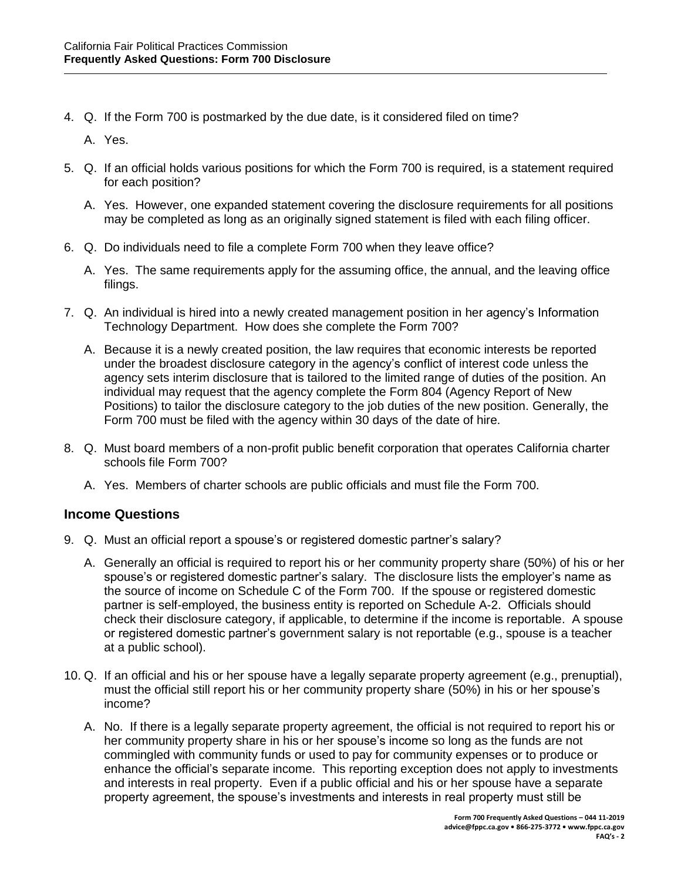4. Q. If the Form 700 is postmarked by the due date, is it considered filed on time?

A. Yes.

- 5. Q. If an official holds various positions for which the Form 700 is required, is a statement required for each position?
	- A. Yes. However, one expanded statement covering the disclosure requirements for all positions may be completed as long as an originally signed statement is filed with each filing officer.
- 6. Q. Do individuals need to file a complete Form 700 when they leave office?
	- A. Yes. The same requirements apply for the assuming office, the annual, and the leaving office filings.
- 7. Q. An individual is hired into a newly created management position in her agency's Information Technology Department. How does she complete the Form 700?
	- A. Because it is a newly created position, the law requires that economic interests be reported under the broadest disclosure category in the agency's conflict of interest code unless the agency sets interim disclosure that is tailored to the limited range of duties of the position. An individual may request that the agency complete the Form 804 (Agency Report of New Positions) to tailor the disclosure category to the job duties of the new position. Generally, the Form 700 must be filed with the agency within 30 days of the date of hire.
- 8. Q. Must board members of a non-profit public benefit corporation that operates California charter schools file Form 700?
	- A. Yes. Members of charter schools are public officials and must file the Form 700.

#### **Income Questions**

- 9. Q. Must an official report a spouse's or registered domestic partner's salary?
	- A. Generally an official is required to report his or her community property share (50%) of his or her spouse's or registered domestic partner's salary. The disclosure lists the employer's name as the source of income on Schedule C of the Form 700. If the spouse or registered domestic partner is self-employed, the business entity is reported on Schedule A-2. Officials should check their disclosure category, if applicable, to determine if the income is reportable. A spouse or registered domestic partner's government salary is not reportable (e.g., spouse is a teacher at a public school).
- 10. Q. If an official and his or her spouse have a legally separate property agreement (e.g., prenuptial), must the official still report his or her community property share (50%) in his or her spouse's income?
	- A. No. If there is a legally separate property agreement, the official is not required to report his or her community property share in his or her spouse's income so long as the funds are not commingled with community funds or used to pay for community expenses or to produce or enhance the official's separate income. This reporting exception does not apply to investments and interests in real property. Even if a public official and his or her spouse have a separate property agreement, the spouse's investments and interests in real property must still be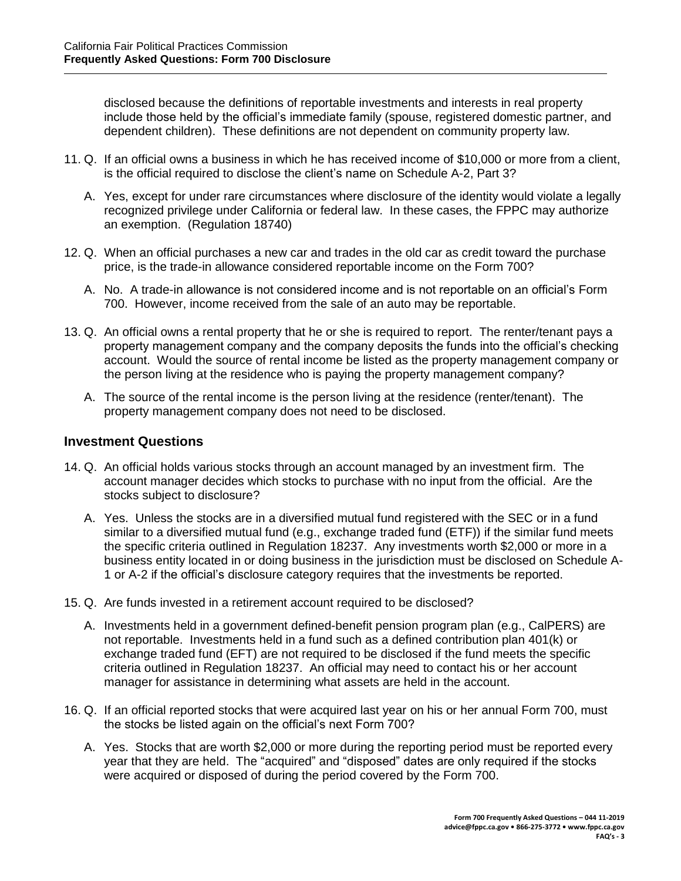disclosed because the definitions of reportable investments and interests in real property include those held by the official's immediate family (spouse, registered domestic partner, and dependent children). These definitions are not dependent on community property law.

- 11. Q. If an official owns a business in which he has received income of \$10,000 or more from a client, is the official required to disclose the client's name on Schedule A-2, Part 3?
	- A. Yes, except for under rare circumstances where disclosure of the identity would violate a legally recognized privilege under California or federal law. In these cases, the FPPC may authorize an exemption. (Regulation 18740)
- 12. Q. When an official purchases a new car and trades in the old car as credit toward the purchase price, is the trade-in allowance considered reportable income on the Form 700?
	- A. No. A trade-in allowance is not considered income and is not reportable on an official's Form 700. However, income received from the sale of an auto may be reportable.
- 13. Q. An official owns a rental property that he or she is required to report. The renter/tenant pays a property management company and the company deposits the funds into the official's checking account. Would the source of rental income be listed as the property management company or the person living at the residence who is paying the property management company?
	- A. The source of the rental income is the person living at the residence (renter/tenant). The property management company does not need to be disclosed.

### **Investment Questions**

- 14. Q. An official holds various stocks through an account managed by an investment firm. The account manager decides which stocks to purchase with no input from the official. Are the stocks subject to disclosure?
	- A. Yes. Unless the stocks are in a diversified mutual fund registered with the SEC or in a fund similar to a diversified mutual fund (e.g., exchange traded fund (ETF)) if the similar fund meets the specific criteria outlined in Regulation 18237. Any investments worth \$2,000 or more in a business entity located in or doing business in the jurisdiction must be disclosed on Schedule A-1 or A-2 if the official's disclosure category requires that the investments be reported.
- 15. Q. Are funds invested in a retirement account required to be disclosed?
	- A. Investments held in a government defined-benefit pension program plan (e.g., CalPERS) are not reportable. Investments held in a fund such as a defined contribution plan 401(k) or exchange traded fund (EFT) are not required to be disclosed if the fund meets the specific criteria outlined in Regulation 18237. An official may need to contact his or her account manager for assistance in determining what assets are held in the account.
- 16. Q. If an official reported stocks that were acquired last year on his or her annual Form 700, must the stocks be listed again on the official's next Form 700?
	- A. Yes. Stocks that are worth \$2,000 or more during the reporting period must be reported every year that they are held. The "acquired" and "disposed" dates are only required if the stocks were acquired or disposed of during the period covered by the Form 700.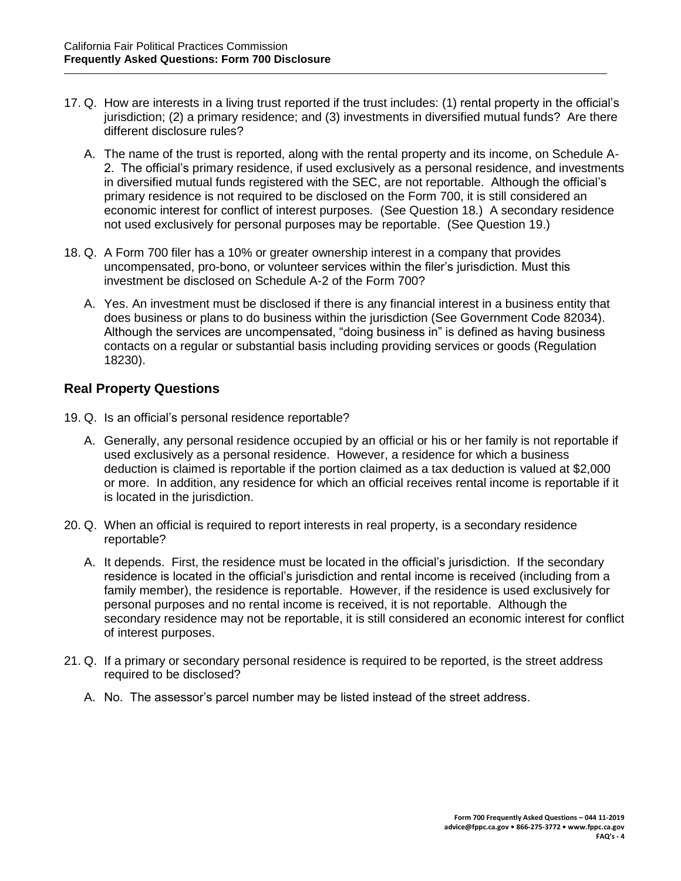- 17. Q. How are interests in a living trust reported if the trust includes: (1) rental property in the official's jurisdiction; (2) a primary residence; and (3) investments in diversified mutual funds? Are there different disclosure rules?
	- A. The name of the trust is reported, along with the rental property and its income, on Schedule A-2. The official's primary residence, if used exclusively as a personal residence, and investments in diversified mutual funds registered with the SEC, are not reportable. Although the official's primary residence is not required to be disclosed on the Form 700, it is still considered an economic interest for conflict of interest purposes. (See Question 18.) A secondary residence not used exclusively for personal purposes may be reportable. (See Question 19.)
- 18. Q. A Form 700 filer has a 10% or greater ownership interest in a company that provides uncompensated, pro-bono, or volunteer services within the filer's jurisdiction. Must this investment be disclosed on Schedule A-2 of the Form 700?
	- A. Yes. An investment must be disclosed if there is any financial interest in a business entity that does business or plans to do business within the jurisdiction (See Government Code 82034). Although the services are uncompensated, "doing business in" is defined as having business contacts on a regular or substantial basis including providing services or goods (Regulation 18230).

# **Real Property Questions**

- 19. Q. Is an official's personal residence reportable?
	- A. Generally, any personal residence occupied by an official or his or her family is not reportable if used exclusively as a personal residence. However, a residence for which a business deduction is claimed is reportable if the portion claimed as a tax deduction is valued at \$2,000 or more. In addition, any residence for which an official receives rental income is reportable if it is located in the jurisdiction.
- 20. Q. When an official is required to report interests in real property, is a secondary residence reportable?
	- A. It depends. First, the residence must be located in the official's jurisdiction. If the secondary residence is located in the official's jurisdiction and rental income is received (including from a family member), the residence is reportable. However, if the residence is used exclusively for personal purposes and no rental income is received, it is not reportable. Although the secondary residence may not be reportable, it is still considered an economic interest for conflict of interest purposes.
- 21. Q. If a primary or secondary personal residence is required to be reported, is the street address required to be disclosed?
	- A. No. The assessor's parcel number may be listed instead of the street address.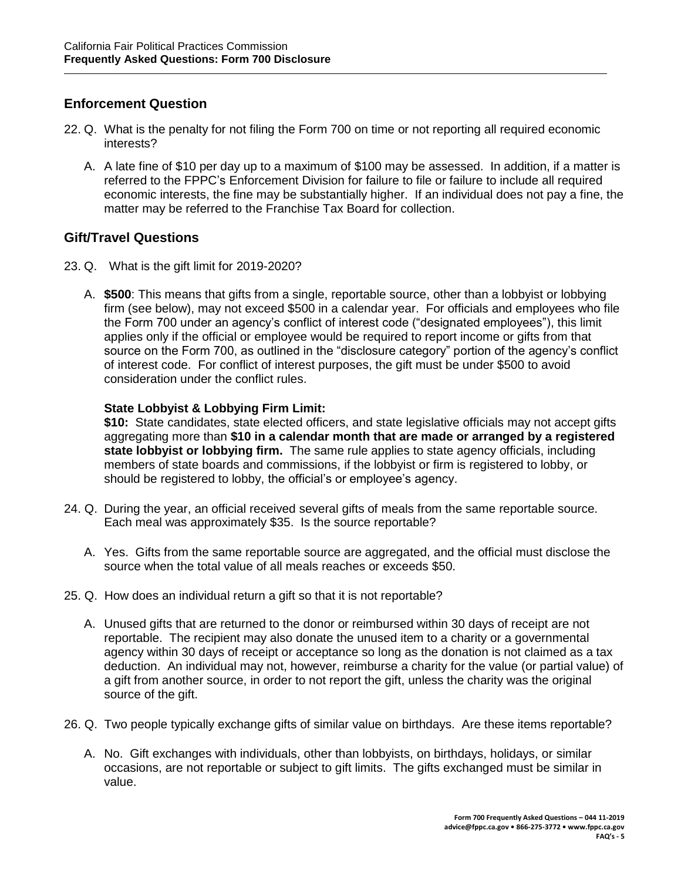# **Enforcement Question**

- 22. Q. What is the penalty for not filing the Form 700 on time or not reporting all required economic interests?
	- A. A late fine of \$10 per day up to a maximum of \$100 may be assessed. In addition, if a matter is referred to the FPPC's Enforcement Division for failure to file or failure to include all required economic interests, the fine may be substantially higher. If an individual does not pay a fine, the matter may be referred to the Franchise Tax Board for collection.

## **Gift/Travel Questions**

- 23. Q. What is the gift limit for 2019-2020?
	- A. **\$500**: This means that gifts from a single, reportable source, other than a lobbyist or lobbying firm (see below), may not exceed \$500 in a calendar year. For officials and employees who file the Form 700 under an agency's conflict of interest code ("designated employees"), this limit applies only if the official or employee would be required to report income or gifts from that source on the Form 700, as outlined in the "disclosure category" portion of the agency's conflict of interest code. For conflict of interest purposes, the gift must be under \$500 to avoid consideration under the conflict rules.

## **State Lobbyist & Lobbying Firm Limit:**

**\$10:** State candidates, state elected officers, and state legislative officials may not accept gifts aggregating more than **\$10 in a calendar month that are made or arranged by a registered state lobbyist or lobbying firm.** The same rule applies to state agency officials, including members of state boards and commissions, if the lobbyist or firm is registered to lobby, or should be registered to lobby, the official's or employee's agency.

- 24. Q. During the year, an official received several gifts of meals from the same reportable source. Each meal was approximately \$35. Is the source reportable?
	- A. Yes. Gifts from the same reportable source are aggregated, and the official must disclose the source when the total value of all meals reaches or exceeds \$50.
- 25. Q. How does an individual return a gift so that it is not reportable?
	- A. Unused gifts that are returned to the donor or reimbursed within 30 days of receipt are not reportable. The recipient may also donate the unused item to a charity or a governmental agency within 30 days of receipt or acceptance so long as the donation is not claimed as a tax deduction. An individual may not, however, reimburse a charity for the value (or partial value) of a gift from another source, in order to not report the gift, unless the charity was the original source of the gift.
- 26. Q. Two people typically exchange gifts of similar value on birthdays. Are these items reportable?
	- A. No. Gift exchanges with individuals, other than lobbyists, on birthdays, holidays, or similar occasions, are not reportable or subject to gift limits. The gifts exchanged must be similar in value.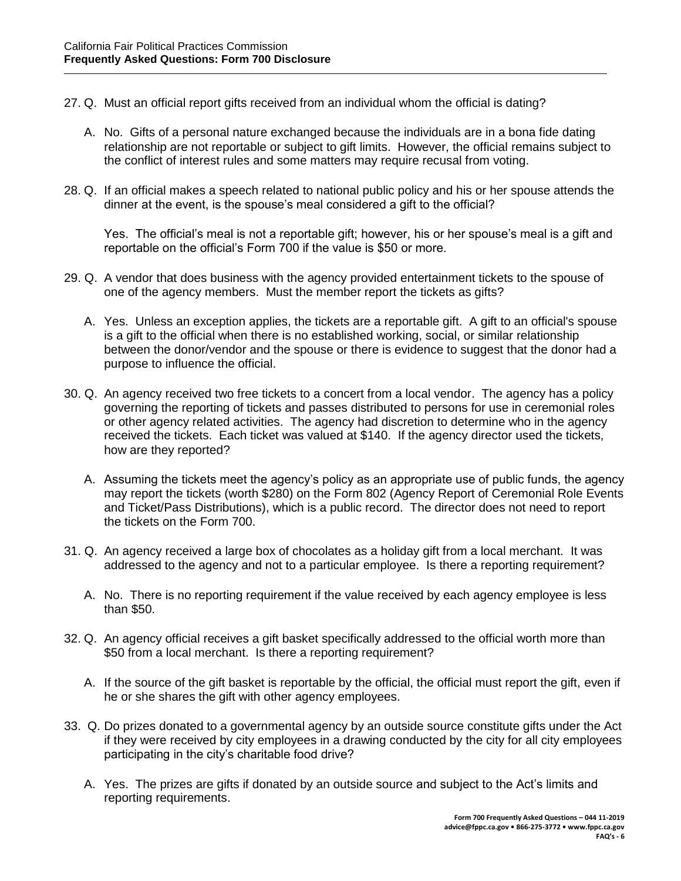- 27. Q. Must an official report gifts received from an individual whom the official is dating?
	- A. No. Gifts of a personal nature exchanged because the individuals are in a bona fide dating relationship are not reportable or subject to gift limits. However, the official remains subject to the conflict of interest rules and some matters may require recusal from voting.
- 28. Q. If an official makes a speech related to national public policy and his or her spouse attends the dinner at the event, is the spouse's meal considered a gift to the official?

Yes. The official's meal is not a reportable gift; however, his or her spouse's meal is a gift and reportable on the official's Form 700 if the value is \$50 or more.

- 29. Q. A vendor that does business with the agency provided entertainment tickets to the spouse of one of the agency members. Must the member report the tickets as gifts?
	- A. Yes. Unless an exception applies, the tickets are a reportable gift. A gift to an official's spouse is a gift to the official when there is no established working, social, or similar relationship between the donor/vendor and the spouse or there is evidence to suggest that the donor had a purpose to influence the official.
- 30. Q. An agency received two free tickets to a concert from a local vendor. The agency has a policy governing the reporting of tickets and passes distributed to persons for use in ceremonial roles or other agency related activities. The agency had discretion to determine who in the agency received the tickets. Each ticket was valued at \$140. If the agency director used the tickets, how are they reported?
	- A. Assuming the tickets meet the agency's policy as an appropriate use of public funds, the agency may report the tickets (worth \$280) on the Form 802 (Agency Report of Ceremonial Role Events and Ticket/Pass Distributions), which is a public record. The director does not need to report the tickets on the Form 700.
- 31. Q. An agency received a large box of chocolates as a holiday gift from a local merchant. It was addressed to the agency and not to a particular employee. Is there a reporting requirement?
	- A. No. There is no reporting requirement if the value received by each agency employee is less than \$50.
- 32. Q. An agency official receives a gift basket specifically addressed to the official worth more than \$50 from a local merchant. Is there a reporting requirement?
	- A. If the source of the gift basket is reportable by the official, the official must report the gift, even if he or she shares the gift with other agency employees.
- 33. Q. Do prizes donated to a governmental agency by an outside source constitute gifts under the Act if they were received by city employees in a drawing conducted by the city for all city employees participating in the city's charitable food drive?
	- A. Yes. The prizes are gifts if donated by an outside source and subject to the Act's limits and reporting requirements.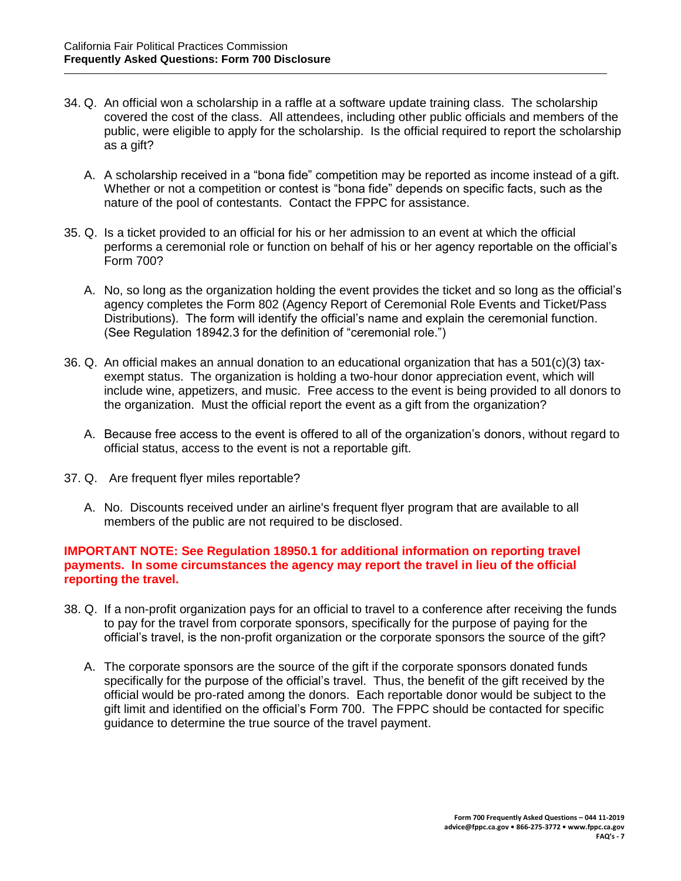- 34. Q. An official won a scholarship in a raffle at a software update training class. The scholarship covered the cost of the class. All attendees, including other public officials and members of the public, were eligible to apply for the scholarship. Is the official required to report the scholarship as a gift?
	- A. A scholarship received in a "bona fide" competition may be reported as income instead of a gift. Whether or not a competition or contest is "bona fide" depends on specific facts, such as the nature of the pool of contestants. Contact the FPPC for assistance.
- 35. Q. Is a ticket provided to an official for his or her admission to an event at which the official performs a ceremonial role or function on behalf of his or her agency reportable on the official's Form 700?
	- A. No, so long as the organization holding the event provides the ticket and so long as the official's agency completes the Form 802 (Agency Report of Ceremonial Role Events and Ticket/Pass Distributions). The form will identify the official's name and explain the ceremonial function. (See Regulation 18942.3 for the definition of "ceremonial role.")
- 36. Q. An official makes an annual donation to an educational organization that has a 501(c)(3) taxexempt status. The organization is holding a two-hour donor appreciation event, which will include wine, appetizers, and music. Free access to the event is being provided to all donors to the organization. Must the official report the event as a gift from the organization?
	- A. Because free access to the event is offered to all of the organization's donors, without regard to official status, access to the event is not a reportable gift.
- 37. Q. Are frequent flyer miles reportable?
	- A. No. Discounts received under an airline's frequent flyer program that are available to all members of the public are not required to be disclosed.

#### **IMPORTANT NOTE: See Regulation 18950.1 for additional information on reporting travel payments. In some circumstances the agency may report the travel in lieu of the official reporting the travel.**

- 38. Q. If a non-profit organization pays for an official to travel to a conference after receiving the funds to pay for the travel from corporate sponsors, specifically for the purpose of paying for the official's travel, is the non-profit organization or the corporate sponsors the source of the gift?
	- A. The corporate sponsors are the source of the gift if the corporate sponsors donated funds specifically for the purpose of the official's travel. Thus, the benefit of the gift received by the official would be pro-rated among the donors. Each reportable donor would be subject to the gift limit and identified on the official's Form 700. The FPPC should be contacted for specific guidance to determine the true source of the travel payment.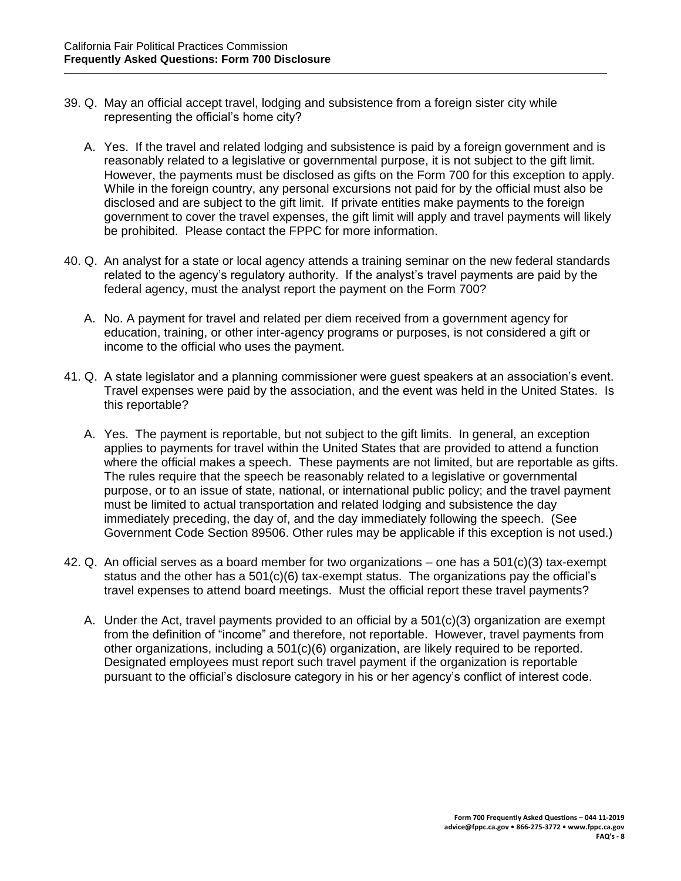- 39. Q. May an official accept travel, lodging and subsistence from a foreign sister city while representing the official's home city?
	- A. Yes. If the travel and related lodging and subsistence is paid by a foreign government and is reasonably related to a legislative or governmental purpose, it is not subject to the gift limit. However, the payments must be disclosed as gifts on the Form 700 for this exception to apply. While in the foreign country, any personal excursions not paid for by the official must also be disclosed and are subject to the gift limit. If private entities make payments to the foreign government to cover the travel expenses, the gift limit will apply and travel payments will likely be prohibited. Please contact the FPPC for more information.
- 40. Q. An analyst for a state or local agency attends a training seminar on the new federal standards related to the agency's regulatory authority. If the analyst's travel payments are paid by the federal agency, must the analyst report the payment on the Form 700?
	- A. No. A payment for travel and related per diem received from a government agency for education, training, or other inter-agency programs or purposes, is not considered a gift or income to the official who uses the payment.
- 41. Q. A state legislator and a planning commissioner were guest speakers at an association's event. Travel expenses were paid by the association, and the event was held in the United States. Is this reportable?
	- A. Yes. The payment is reportable, but not subject to the gift limits. In general, an exception applies to payments for travel within the United States that are provided to attend a function where the official makes a speech. These payments are not limited, but are reportable as gifts. The rules require that the speech be reasonably related to a legislative or governmental purpose, or to an issue of state, national, or international public policy; and the travel payment must be limited to actual transportation and related lodging and subsistence the day immediately preceding, the day of, and the day immediately following the speech. (See Government Code Section 89506. Other rules may be applicable if this exception is not used.)
- 42. Q. An official serves as a board member for two organizations one has a 501(c)(3) tax-exempt status and the other has a 501(c)(6) tax-exempt status. The organizations pay the official's travel expenses to attend board meetings. Must the official report these travel payments?
	- A. Under the Act, travel payments provided to an official by a 501(c)(3) organization are exempt from the definition of "income" and therefore, not reportable. However, travel payments from other organizations, including a 501(c)(6) organization, are likely required to be reported. Designated employees must report such travel payment if the organization is reportable pursuant to the official's disclosure category in his or her agency's conflict of interest code.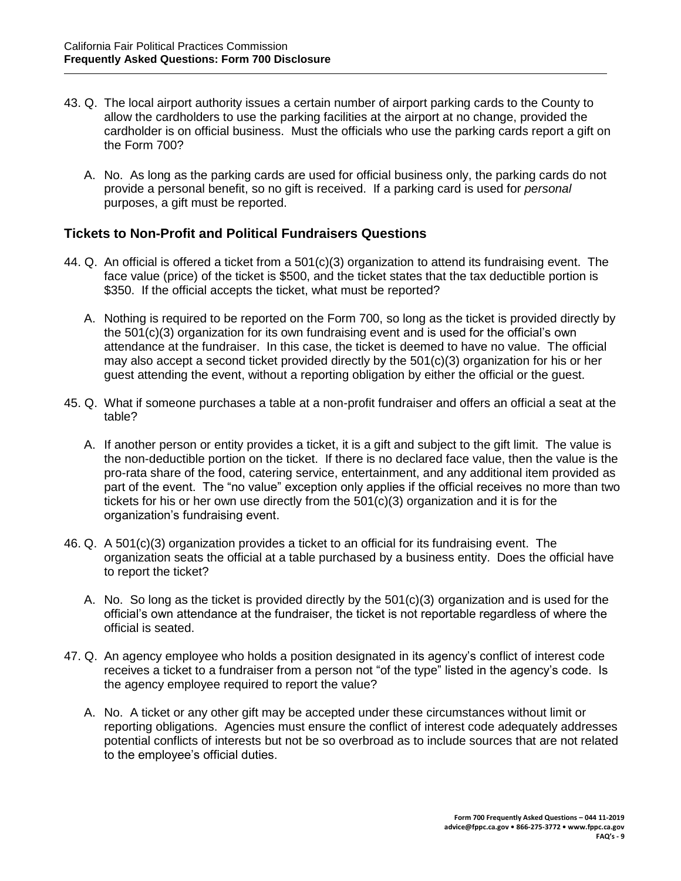- 43. Q. The local airport authority issues a certain number of airport parking cards to the County to allow the cardholders to use the parking facilities at the airport at no change, provided the cardholder is on official business. Must the officials who use the parking cards report a gift on the Form 700?
	- A. No. As long as the parking cards are used for official business only, the parking cards do not provide a personal benefit, so no gift is received. If a parking card is used for *personal* purposes, a gift must be reported.

## **Tickets to Non-Profit and Political Fundraisers Questions**

- 44. Q. An official is offered a ticket from a 501(c)(3) organization to attend its fundraising event. The face value (price) of the ticket is \$500, and the ticket states that the tax deductible portion is \$350. If the official accepts the ticket, what must be reported?
	- A. Nothing is required to be reported on the Form 700, so long as the ticket is provided directly by the 501(c)(3) organization for its own fundraising event and is used for the official's own attendance at the fundraiser. In this case, the ticket is deemed to have no value. The official may also accept a second ticket provided directly by the 501(c)(3) organization for his or her guest attending the event, without a reporting obligation by either the official or the guest.
- 45. Q. What if someone purchases a table at a non-profit fundraiser and offers an official a seat at the table?
	- A. If another person or entity provides a ticket, it is a gift and subject to the gift limit. The value is the non-deductible portion on the ticket. If there is no declared face value, then the value is the pro-rata share of the food, catering service, entertainment, and any additional item provided as part of the event. The "no value" exception only applies if the official receives no more than two tickets for his or her own use directly from the  $501(c)(3)$  organization and it is for the organization's fundraising event.
- 46. Q. A 501(c)(3) organization provides a ticket to an official for its fundraising event. The organization seats the official at a table purchased by a business entity. Does the official have to report the ticket?
	- A. No. So long as the ticket is provided directly by the 501(c)(3) organization and is used for the official's own attendance at the fundraiser, the ticket is not reportable regardless of where the official is seated.
- 47. Q. An agency employee who holds a position designated in its agency's conflict of interest code receives a ticket to a fundraiser from a person not "of the type" listed in the agency's code. Is the agency employee required to report the value?
	- A. No. A ticket or any other gift may be accepted under these circumstances without limit or reporting obligations. Agencies must ensure the conflict of interest code adequately addresses potential conflicts of interests but not be so overbroad as to include sources that are not related to the employee's official duties.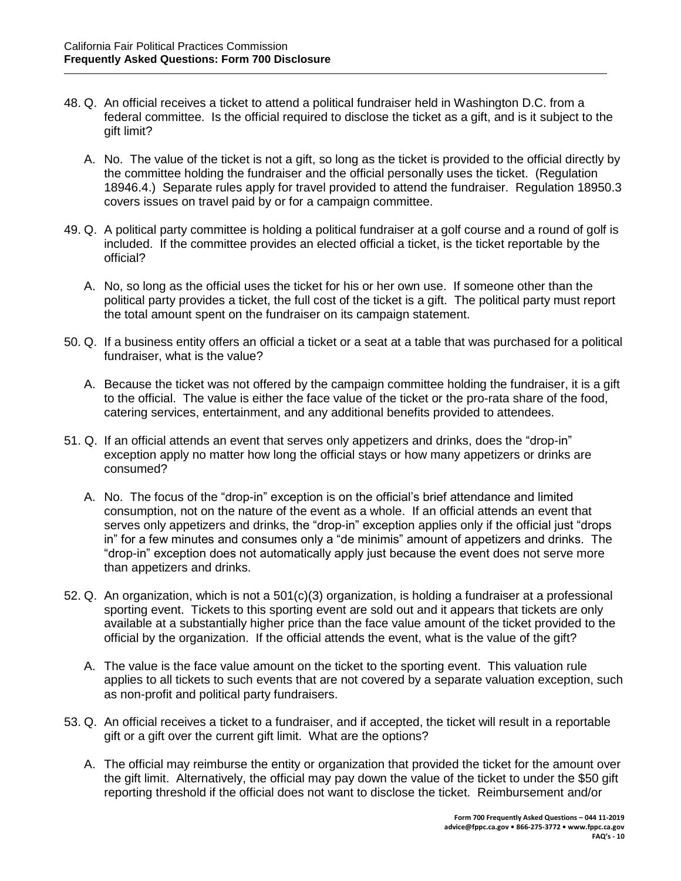- 48. Q. An official receives a ticket to attend a political fundraiser held in Washington D.C. from a federal committee. Is the official required to disclose the ticket as a gift, and is it subject to the gift limit?
	- A. No. The value of the ticket is not a gift, so long as the ticket is provided to the official directly by the committee holding the fundraiser and the official personally uses the ticket. (Regulation 18946.4.) Separate rules apply for travel provided to attend the fundraiser. Regulation 18950.3 covers issues on travel paid by or for a campaign committee.
- 49. Q. A political party committee is holding a political fundraiser at a golf course and a round of golf is included. If the committee provides an elected official a ticket, is the ticket reportable by the official?
	- A. No, so long as the official uses the ticket for his or her own use. If someone other than the political party provides a ticket, the full cost of the ticket is a gift. The political party must report the total amount spent on the fundraiser on its campaign statement.
- 50. Q. If a business entity offers an official a ticket or a seat at a table that was purchased for a political fundraiser, what is the value?
	- A. Because the ticket was not offered by the campaign committee holding the fundraiser, it is a gift to the official. The value is either the face value of the ticket or the pro-rata share of the food, catering services, entertainment, and any additional benefits provided to attendees.
- 51. Q. If an official attends an event that serves only appetizers and drinks, does the "drop-in" exception apply no matter how long the official stays or how many appetizers or drinks are consumed?
	- A. No. The focus of the "drop-in" exception is on the official's brief attendance and limited consumption, not on the nature of the event as a whole. If an official attends an event that serves only appetizers and drinks, the "drop-in" exception applies only if the official just "drops in" for a few minutes and consumes only a "de minimis" amount of appetizers and drinks. The "drop-in" exception does not automatically apply just because the event does not serve more than appetizers and drinks.
- 52. Q. An organization, which is not a 501(c)(3) organization, is holding a fundraiser at a professional sporting event. Tickets to this sporting event are sold out and it appears that tickets are only available at a substantially higher price than the face value amount of the ticket provided to the official by the organization. If the official attends the event, what is the value of the gift?
	- A. The value is the face value amount on the ticket to the sporting event. This valuation rule applies to all tickets to such events that are not covered by a separate valuation exception, such as non-profit and political party fundraisers.
- 53. Q. An official receives a ticket to a fundraiser, and if accepted, the ticket will result in a reportable gift or a gift over the current gift limit. What are the options?
	- A. The official may reimburse the entity or organization that provided the ticket for the amount over the gift limit. Alternatively, the official may pay down the value of the ticket to under the \$50 gift reporting threshold if the official does not want to disclose the ticket. Reimbursement and/or